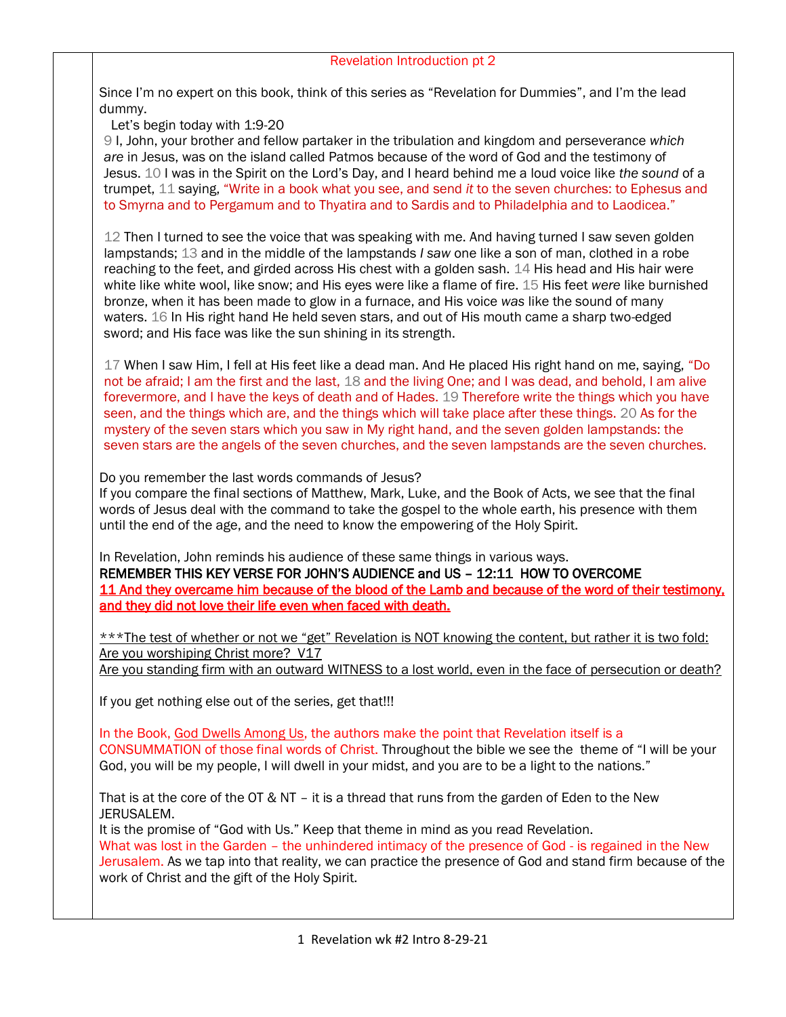Since I'm no expert on this book, think of this series as "Revelation for Dummies", and I'm the lead dummy.

Let's begin today with 1:9-20

9 I, John, your brother and fellow partaker in the tribulation and kingdom and perseverance *which are* in Jesus, was on the island called Patmos because of the word of God and the testimony of Jesus. 10 I was in the Spirit on the Lord's Day, and I heard behind me a loud voice like *the sound* of a trumpet, 11 saying, "Write in a book what you see, and send *it* to the seven churches: to Ephesus and to Smyrna and to Pergamum and to Thyatira and to Sardis and to Philadelphia and to Laodicea."

12 Then I turned to see the voice that was speaking with me. And having turned I saw seven golden lampstands; 13 and in the middle of the lampstands *I saw* one like a son of man, clothed in a robe reaching to the feet, and girded across His chest with a golden sash. 14 His head and His hair were white like white wool, like snow; and His eyes were like a flame of fire. 15 His feet *were* like burnished bronze, when it has been made to glow in a furnace, and His voice *was* like the sound of many waters. 16 In His right hand He held seven stars, and out of His mouth came a sharp two-edged sword; and His face was like the sun shining in its strength.

17 When I saw Him, I fell at His feet like a dead man. And He placed His right hand on me, saying, "Do not be afraid; I am the first and the last, 18 and the living One; and I was dead, and behold, I am alive forevermore, and I have the keys of death and of Hades. 19 Therefore write the things which you have seen, and the things which are, and the things which will take place after these things. 20 As for the mystery of the seven stars which you saw in My right hand, and the seven golden lampstands: the seven stars are the angels of the seven churches, and the seven lampstands are the seven churches.

Do you remember the last words commands of Jesus?

If you compare the final sections of Matthew, Mark, Luke, and the Book of Acts, we see that the final words of Jesus deal with the command to take the gospel to the whole earth, his presence with them until the end of the age, and the need to know the empowering of the Holy Spirit.

In Revelation, John reminds his audience of these same things in various ways. REMEMBER THIS KEY VERSE FOR JOHN'S AUDIENCE and US – 12:11 HOW TO OVERCOME 11 And they overcame him because of the blood of the Lamb and because of the word of their testimony, and they did not love their life even when faced with death.

\*\*\*The test of whether or not we "get" Revelation is NOT knowing the content, but rather it is two fold: Are you worshiping Christ more? V17 Are you standing firm with an outward WITNESS to a lost world, even in the face of persecution or death?

If you get nothing else out of the series, get that!!!

In the Book, God Dwells Among Us, the authors make the point that Revelation itself is a CONSUMMATION of those final words of Christ. Throughout the bible we see the theme of "I will be your God, you will be my people, I will dwell in your midst, and you are to be a light to the nations."

That is at the core of the OT & NT – it is a thread that runs from the garden of Eden to the New JERUSALEM.

It is the promise of "God with Us." Keep that theme in mind as you read Revelation.

What was lost in the Garden – the unhindered intimacy of the presence of God - is regained in the New Jerusalem. As we tap into that reality, we can practice the presence of God and stand firm because of the work of Christ and the gift of the Holy Spirit.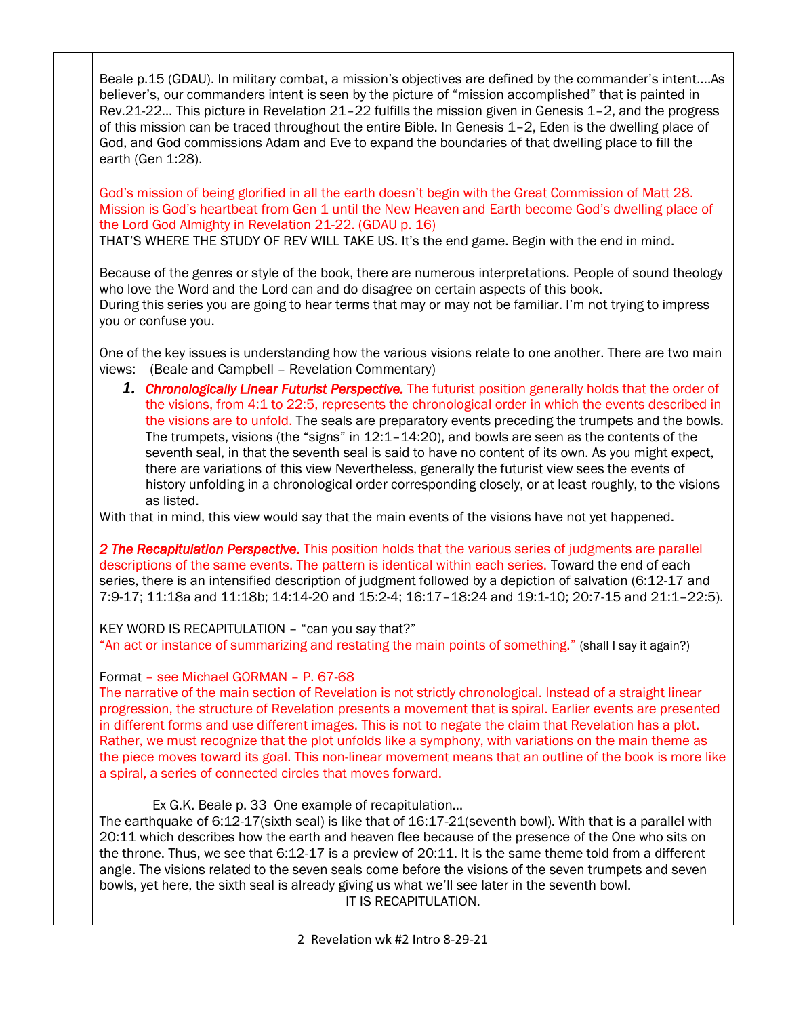Beale p.15 (GDAU). In military combat, a mission's objectives are defined by the commander's intent….As believer's, our commanders intent is seen by the picture of "mission accomplished" that is painted in Rev.21-22… This picture in Revelation 21–22 fulfills the mission given in Genesis 1–2, and the progress of this mission can be traced throughout the entire Bible. In Genesis 1–2, Eden is the dwelling place of God, and God commissions Adam and Eve to expand the boundaries of that dwelling place to fill the earth (Gen 1:28).

God's mission of being glorified in all the earth doesn't begin with the Great Commission of Matt 28. Mission is God's heartbeat from Gen 1 until the New Heaven and Earth become God's dwelling place of the Lord God Almighty in Revelation 21-22. (GDAU p. 16)

THAT'S WHERE THE STUDY OF REV WILL TAKE US. It's the end game. Begin with the end in mind.

Because of the genres or style of the book, there are numerous interpretations. People of sound theology who love the Word and the Lord can and do disagree on certain aspects of this book. During this series you are going to hear terms that may or may not be familiar. I'm not trying to impress you or confuse you.

One of the key issues is understanding how the various visions relate to one another. There are two main views: (Beale and Campbell – Revelation Commentary)

*1. Chronologically Linear Futurist Perspective.* The futurist position generally holds that the order of the visions, from 4:1 to 22:5, represents the chronological order in which the events described in the visions are to unfold. The seals are preparatory events preceding the trumpets and the bowls. The trumpets, visions (the "signs" in 12:1–14:20), and bowls are seen as the contents of the seventh seal, in that the seventh seal is said to have no content of its own. As you might expect, there are variations of this view Nevertheless, generally the futurist view sees the events of history unfolding in a chronological order corresponding closely, or at least roughly, to the visions as listed.

With that in mind, this view would say that the main events of the visions have not yet happened.

*2 The Recapitulation Perspective.* This position holds that the various series of judgments are parallel descriptions of the same events. The pattern is identical within each series. Toward the end of each series, there is an intensified description of judgment followed by a depiction of salvation (6:12-17 and 7:9-17; 11:18a and 11:18b; 14:14-20 and 15:2-4; 16:17–18:24 and 19:1-10; 20:7-15 and 21:1–22:5).

KEY WORD IS RECAPITULATION – "can you say that?" "An act or instance of summarizing and restating the main points of something." (shall I say it again?)

## Format – see Michael GORMAN – P. 67-68

The narrative of the main section of Revelation is not strictly chronological. Instead of a straight linear progression, the structure of Revelation presents a movement that is spiral. Earlier events are presented in different forms and use different images. This is not to negate the claim that Revelation has a plot. Rather, we must recognize that the plot unfolds like a symphony, with variations on the main theme as the piece moves toward its goal. This non-linear movement means that an outline of the book is more like a spiral, a series of connected circles that moves forward.

Ex G.K. Beale p. 33 One example of recapitulation…

The earthquake of 6:12-17(sixth seal) is like that of 16:17-21(seventh bowl). With that is a parallel with 20:11 which describes how the earth and heaven flee because of the presence of the One who sits on the throne. Thus, we see that 6:12-17 is a preview of 20:11. It is the same theme told from a different angle. The visions related to the seven seals come before the visions of the seven trumpets and seven bowls, yet here, the sixth seal is already giving us what we'll see later in the seventh bowl. IT IS RECAPITULATION.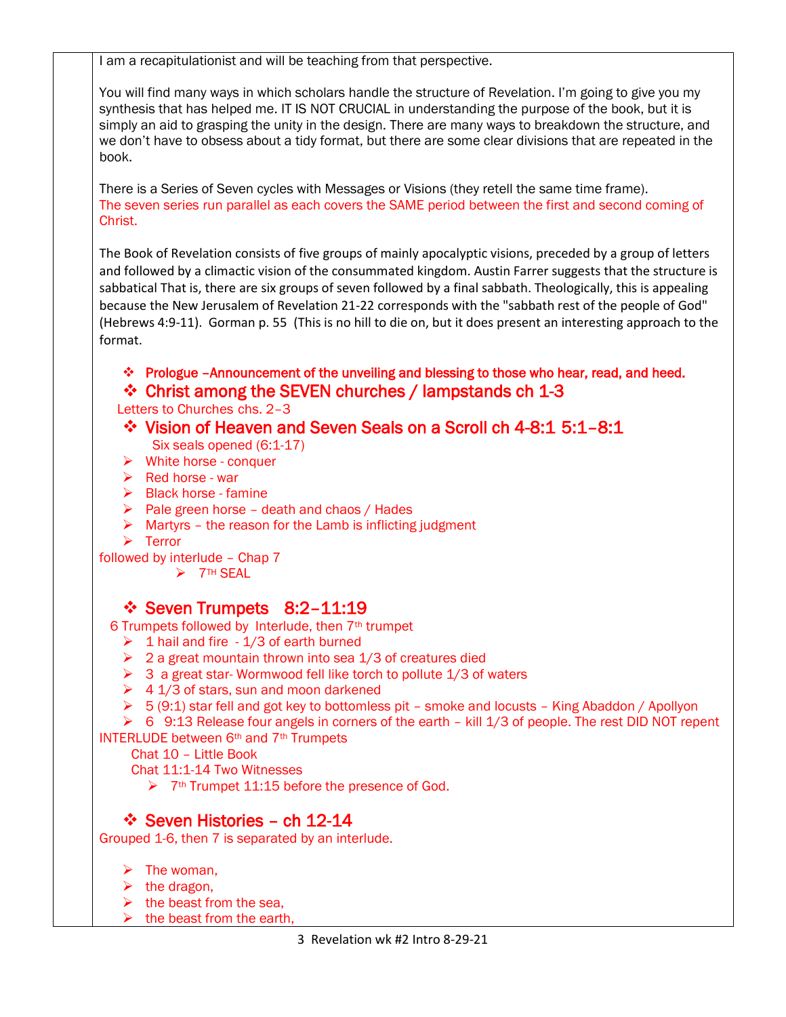I am a recapitulationist and will be teaching from that perspective.

You will find many ways in which scholars handle the structure of Revelation. I'm going to give you my synthesis that has helped me. IT IS NOT CRUCIAL in understanding the purpose of the book, but it is simply an aid to grasping the unity in the design. There are many ways to breakdown the structure, and we don't have to obsess about a tidy format, but there are some clear divisions that are repeated in the book.

There is a Series of Seven cycles with Messages or Visions (they retell the same time frame). The seven series run parallel as each covers the SAME period between the first and second coming of Christ.

The Book of Revelation consists of five groups of mainly apocalyptic visions, preceded by a group of letters and followed by a climactic vision of the consummated kingdom. Austin Farrer suggests that the structure is sabbatical That is, there are six groups of seven followed by a final sabbath. Theologically, this is appealing because the New Jerusalem of Revelation 21-22 corresponds with the "sabbath rest of the people of God" (Hebrews 4:9-11). Gorman p. 55 (This is no hill to die on, but it does present an interesting approach to the format.

- ❖ Prologue –Announcement of the unveiling and blessing to those who hear, read, and heed.
- ❖ Christ among the SEVEN churches / lampstands ch 1-3

Letters to Churches chs. 2–3

- ❖ Vision of Heaven and Seven Seals on a Scroll ch 4-8:1 5:1–8:1 Six seals opened (6:1-17)
- $\triangleright$  White horse conquer
- $\triangleright$  Red horse war
- $\triangleright$  Black horse famine
- $\triangleright$  Pale green horse death and chaos / Hades
- $\triangleright$  Martyrs the reason for the Lamb is inflicting judgment
- ➢ Terror

followed by interlude – Chap 7

➢ 7TH SEAL

# ❖ Seven Trumpets 8:2–11:19

6 Trumpets followed by Interlude, then 7th trumpet

- $\geq 1$  hail and fire 1/3 of earth burned
- $\geq 2$  a great mountain thrown into sea 1/3 of creatures died
- $\geq$  3 a great star-Wormwood fell like torch to pollute 1/3 of waters
- $\geq 4$  1/3 of stars, sun and moon darkened
- $\geq 5$  (9:1) star fell and got key to bottomless pit smoke and locusts King Abaddon / Apollyon

➢ 6 9:13 Release four angels in corners of the earth – kill 1/3 of people. The rest DID NOT repent

INTERLUDE between 6th and 7th Trumpets

Chat 10 – Little Book

Chat 11:1-14 Two Witnesses

 $\geq$  7<sup>th</sup> Trumpet 11:15 before the presence of God.

# ❖ Seven Histories – ch 12-14

Grouped 1-6, then 7 is separated by an interlude.

- $\triangleright$  The woman.
- $\triangleright$  the dragon,
- $\triangleright$  the beast from the sea,
- the beast from the earth,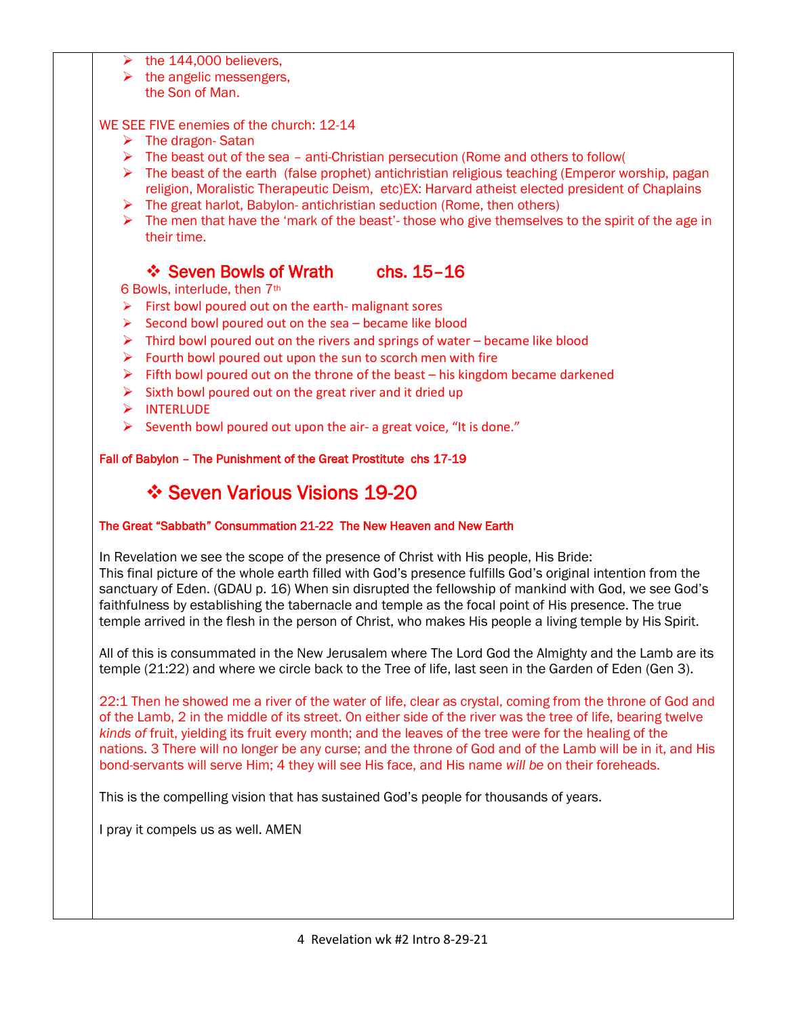- the 144,000 believers.
- $\triangleright$  the angelic messengers,
- the Son of Man.

#### WE SEE FIVE enemies of the church: 12-14

- ➢ The dragon- Satan
- $\triangleright$  The beast out of the sea anti-Christian persecution (Rome and others to follow)
- ➢ The beast of the earth (false prophet) antichristian religious teaching (Emperor worship, pagan religion, Moralistic Therapeutic Deism, etc)EX: Harvard atheist elected president of Chaplains
- ➢ The great harlot, Babylon- antichristian seduction (Rome, then others)
- $\triangleright$  The men that have the 'mark of the beast'- those who give themselves to the spirit of the age in their time.

## ❖ Seven Bowls of Wrath chs. 15–16

6 Bowls, interlude, then 7th

- $\triangleright$  First bowl poured out on the earth- malignant sores
- $\triangleright$  Second bowl poured out on the sea became like blood
- $\triangleright$  Third bowl poured out on the rivers and springs of water became like blood
- $\triangleright$  Fourth bowl poured out upon the sun to scorch men with fire
- $\triangleright$  Fifth bowl poured out on the throne of the beast his kingdom became darkened
- $\triangleright$  Sixth bowl poured out on the great river and it dried up
- ➢ INTERLUDE
- $\triangleright$  Seventh bowl poured out upon the air- a great voice, "It is done."

#### Fall of Babylon – The Punishment of the Great Prostitute chs 17-19

# ❖ Seven Various Visions 19-20

#### The Great "Sabbath" Consummation 21-22 The New Heaven and New Earth

In Revelation we see the scope of the presence of Christ with His people, His Bride: This final picture of the whole earth filled with God's presence fulfills God's original intention from the sanctuary of Eden. (GDAU p. 16) When sin disrupted the fellowship of mankind with God, we see God's faithfulness by establishing the tabernacle and temple as the focal point of His presence. The true

All of this is consummated in the New Jerusalem where The Lord God the Almighty and the Lamb are its temple (21:22) and where we circle back to the Tree of life, last seen in the Garden of Eden (Gen 3).

temple arrived in the flesh in the person of Christ, who makes His people a living temple by His Spirit.

22:1 Then he showed me a river of the water of life, clear as crystal, coming from the throne of God and of the Lamb, 2 in the middle of its street. On either side of the river was the tree of life, bearing twelve *kinds of* fruit, yielding its fruit every month; and the leaves of the tree were for the healing of the nations. 3 There will no longer be any curse; and the throne of God and of the Lamb will be in it, and His bond-servants will serve Him; 4 they will see His face, and His name *will be* on their foreheads.

This is the compelling vision that has sustained God's people for thousands of years.

I pray it compels us as well. AMEN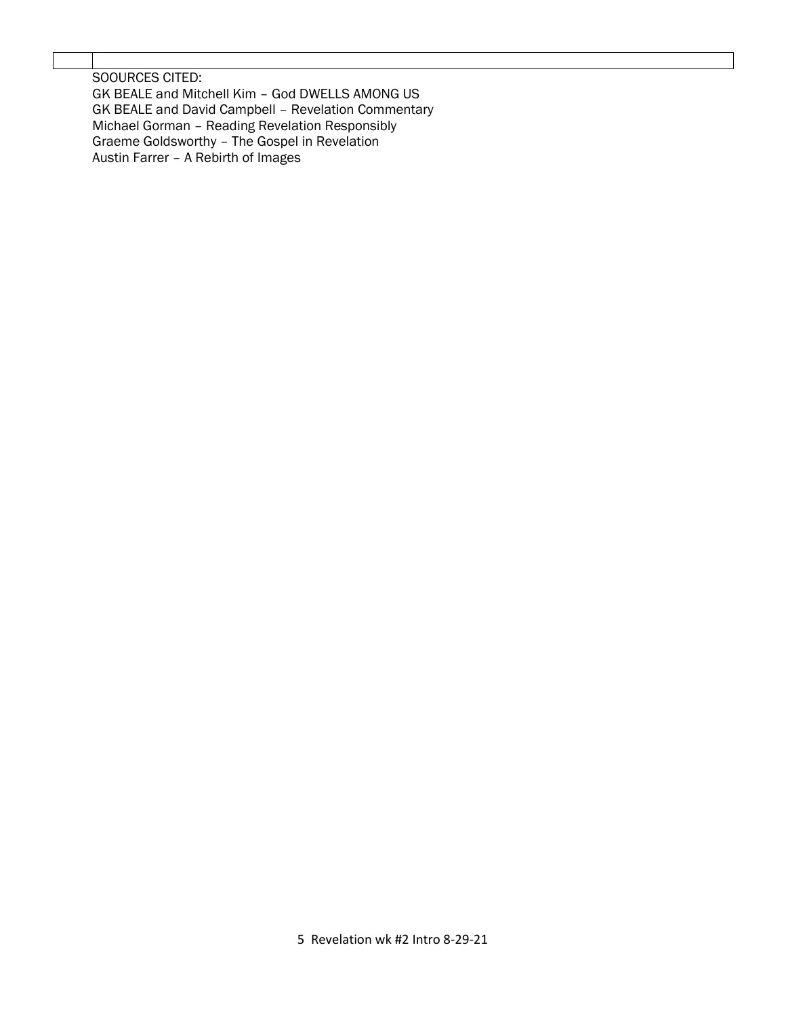SOOURCES CITED: GK BEALE and Mitchell Kim – God DWELLS AMONG US GK BEALE and David Campbell – Revelation Commentary Michael Gorman – Reading Revelation Responsibly Graeme Goldsworthy – The Gospel in Revelation Austin Farrer – A Rebirth of Images